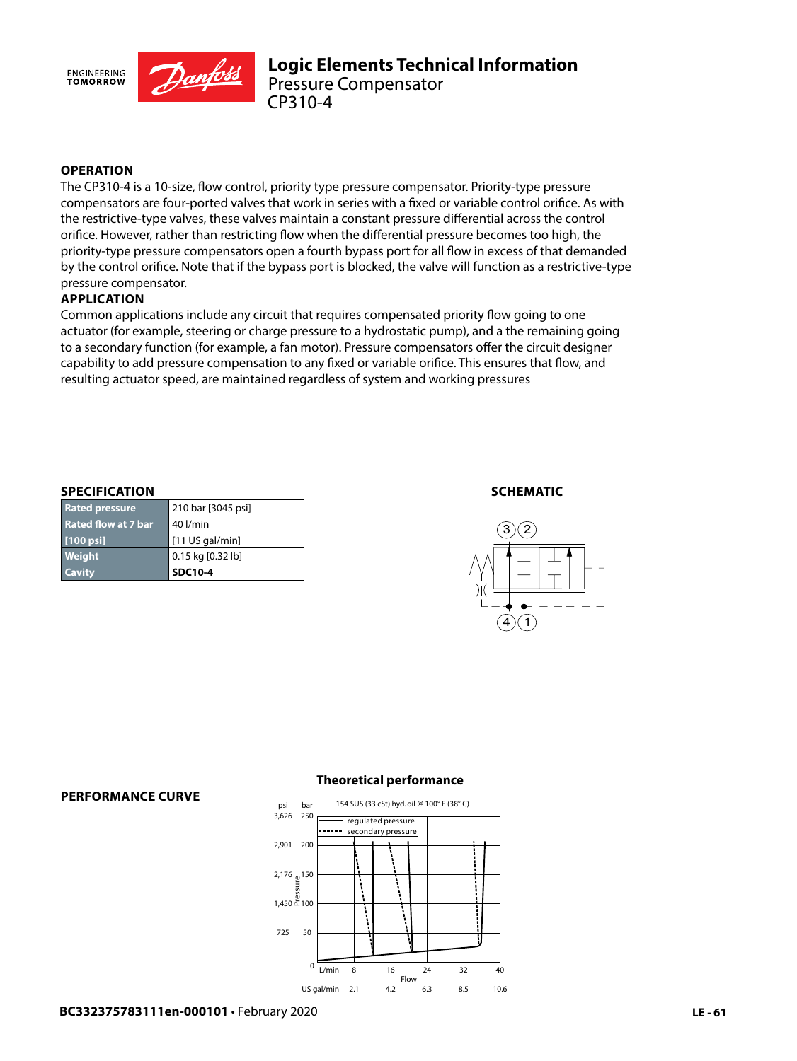

# **OPERATION**

The CP310-4 is a 10-size, flow control, priority type pressure compensator. Priority-type pressure compensators are four-ported valves that work in series with a fixed or variable control orifice. As with the restrictive-type valves, these valves maintain a constant pressure differential across the control orifice. However, rather than restricting flow when the differential pressure becomes too high, the priority-type pressure compensators open a fourth bypass port for all flow in excess of that demanded by the control orifice. Note that if the bypass port is blocked, the valve will function as a restrictive-type pressure compensator.

### **APPLICATION**

Common applications include any circuit that requires compensated priority flow going to one actuator (for example, steering or charge pressure to a hydrostatic pump), and a the remaining going to a secondary function (for example, a fan motor). Pressure compensators offer the circuit designer capability to add pressure compensation to any fixed or variable orifice. This ensures that flow, and resulting actuator speed, are maintained regardless of system and working pressures

#### **SPECIFICATION**

| <b>Cavity</b>              | <b>SDC10-4</b>     |
|----------------------------|--------------------|
| Weight                     | 0.15 kg [0.32 lb]  |
| [100 psi]                  | [11 US gal/min]    |
| <b>Rated flow at 7 bar</b> | 40 l/min           |
| <b>Rated pressure</b>      | 210 bar [3045 psi] |

#### **SCHEMATIC**



#### **PERFORMANCE CURVE**